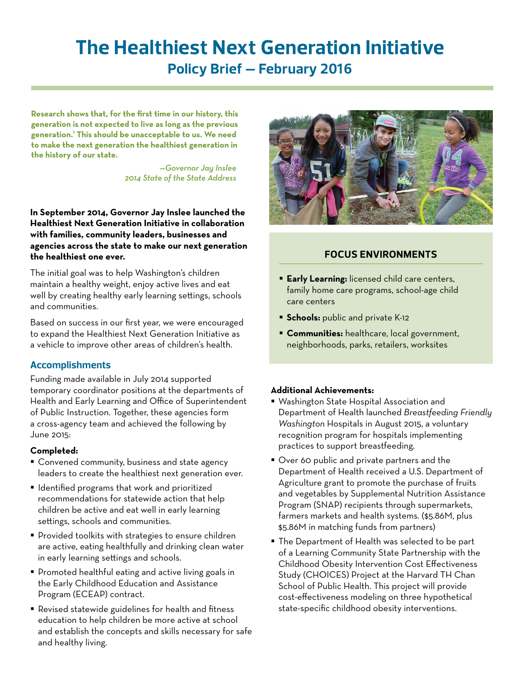# **The Healthiest Next Generation Initiative Policy Brief – February 2016**

**Research shows that, for the first time in our history, this generation is not expected to live as long as the previous generation.1 This should be unacceptable to us. We need to make the next generation the healthiest generation in the history of our state.**

> *—Governor Jay Inslee 2014 State of the State Address*

#### **In September 2014, Governor Jay Inslee launched the Healthiest Next Generation Initiative in collaboration with families, community leaders, businesses and agencies across the state to make our next generation the healthiest one ever.**

The initial goal was to help Washington's children maintain a healthy weight, enjoy active lives and eat well by creating healthy early learning settings, schools and communities.

Based on success in our first year, we were encouraged to expand the Healthiest Next Generation Initiative as a vehicle to improve other areas of children's health.

### **Accomplishments**

Funding made available in July 2014 supported temporary coordinator positions at the departments of Health and Early Learning and Office of Superintendent of Public Instruction. Together, these agencies form a cross-agency team and achieved the following by June 2015:

### **Completed:**

- **Convened community, business and state agency** leaders to create the healthiest next generation ever.
- Identified programs that work and prioritized recommendations for statewide action that help children be active and eat well in early learning settings, schools and communities.
- **Provided toolkits with strategies to ensure children** are active, eating healthfully and drinking clean water in early learning settings and schools.
- **Promoted healthful eating and active living goals in** the Early Childhood Education and Assistance Program (ECEAP) contract.
- Revised statewide guidelines for health and fitness education to help children be more active at school and establish the concepts and skills necessary for safe and healthy living.



# **FOCUS ENVIRONMENTS**

- **Early Learning:** licensed child care centers, family home care programs, school-age child care centers
- **Schools: public and private K-12**
- **Communities:** healthcare, local government, neighborhoods, parks, retailers, worksites

### **Additional Achievements:**

- Washington State Hospital Association and Department of Health launched *Breastfeeding Friendly Washington* Hospitals in August 2015, a voluntary recognition program for hospitals implementing practices to support breastfeeding.
- Over 60 public and private partners and the Department of Health received a U.S. Department of Agriculture grant to promote the purchase of fruits and vegetables by Supplemental Nutrition Assistance Program (SNAP) recipients through supermarkets, farmers markets and health systems. (\$5.86M, plus \$5.86M in matching funds from partners)
- The Department of Health was selected to be part of a Learning Community State Partnership with the Childhood Obesity Intervention Cost Effectiveness Study (CHOICES) Project at the Harvard TH Chan School of Public Health. This project will provide cost-effectiveness modeling on three hypothetical state-specific childhood obesity interventions.